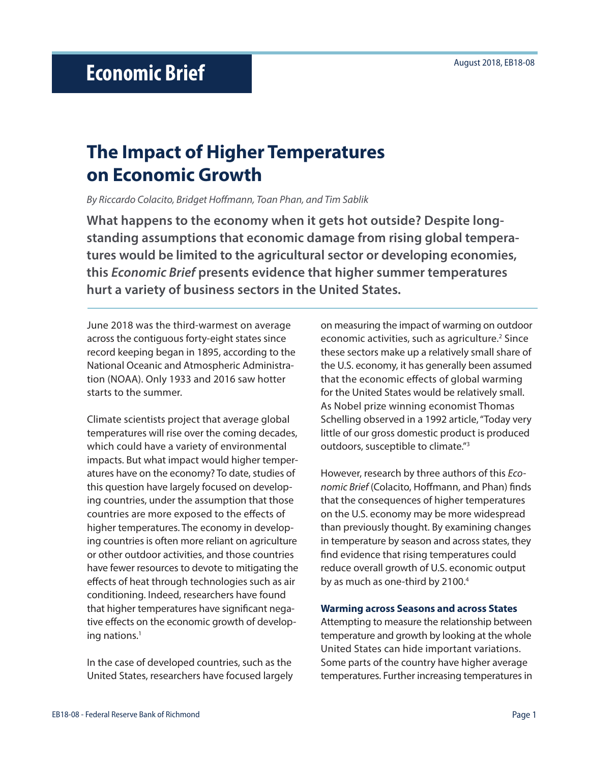# **The Impact of Higher Temperatures on Economic Growth**

*By Riccardo Colacito, Bridget Hoffmann, Toan Phan, and Tim Sablik*

**What happens to the economy when it gets hot outside? Despite longstanding assumptions that economic damage from rising global temperatures would be limited to the agricultural sector or developing economies, this** *Economic Brief* **presents evidence that higher summer temperatures hurt a variety of business sectors in the United States.**

June 2018 was the third-warmest on average across the contiguous forty-eight states since record keeping began in 1895, according to the National Oceanic and Atmospheric Administration (NOAA). Only 1933 and 2016 saw hotter starts to the summer.

Climate scientists project that average global temperatures will rise over the coming decades, which could have a variety of environmental impacts. But what impact would higher temperatures have on the economy? To date, studies of this question have largely focused on developing countries, under the assumption that those countries are more exposed to the effects of higher temperatures. The economy in developing countries is often more reliant on agriculture or other outdoor activities, and those countries have fewer resources to devote to mitigating the effects of heat through technologies such as air conditioning. Indeed, researchers have found that higher temperatures have significant negative effects on the economic growth of developing nations.<sup>1</sup>

In the case of developed countries, such as the United States, researchers have focused largely on measuring the impact of warming on outdoor economic activities, such as agriculture.<sup>2</sup> Since these sectors make up a relatively small share of the U.S. economy, it has generally been assumed that the economic effects of global warming for the United States would be relatively small. As Nobel prize winning economist Thomas Schelling observed in a 1992 article, "Today very little of our gross domestic product is produced outdoors, susceptible to climate."3

However, research by three authors of this *Economic Brief* (Colacito, Hoffmann, and Phan) finds that the consequences of higher temperatures on the U.S. economy may be more widespread than previously thought. By examining changes in temperature by season and across states, they find evidence that rising temperatures could reduce overall growth of U.S. economic output by as much as one-third by 2100.<sup>4</sup>

### **Warming across Seasons and across States**

Attempting to measure the relationship between temperature and growth by looking at the whole United States can hide important variations. Some parts of the country have higher average temperatures. Further increasing temperatures in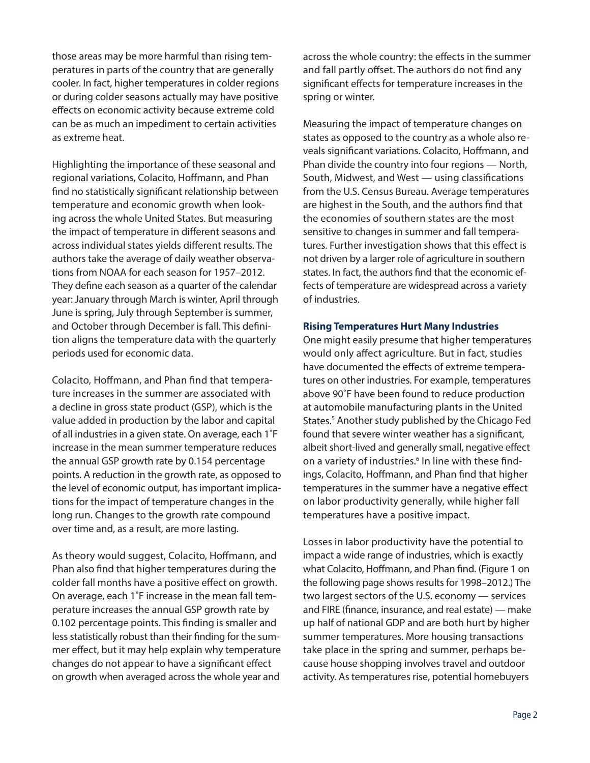those areas may be more harmful than rising temperatures in parts of the country that are generally cooler. In fact, higher temperatures in colder regions or during colder seasons actually may have positive effects on economic activity because extreme cold can be as much an impediment to certain activities as extreme heat.

Highlighting the importance of these seasonal and regional variations, Colacito, Hoffmann, and Phan find no statistically significant relationship between temperature and economic growth when looking across the whole United States. But measuring the impact of temperature in different seasons and across individual states yields different results. The authors take the average of daily weather observations from NOAA for each season for 1957–2012. They define each season as a quarter of the calendar year: January through March is winter, April through June is spring, July through September is summer, and October through December is fall. This definition aligns the temperature data with the quarterly periods used for economic data.

Colacito, Hoffmann, and Phan find that temperature increases in the summer are associated with a decline in gross state product (GSP), which is the value added in production by the labor and capital of all industries in a given state. On average, each 1˚F increase in the mean summer temperature reduces the annual GSP growth rate by 0.154 percentage points. A reduction in the growth rate, as opposed to the level of economic output, has important implications for the impact of temperature changes in the long run. Changes to the growth rate compound over time and, as a result, are more lasting.

As theory would suggest, Colacito, Hoffmann, and Phan also find that higher temperatures during the colder fall months have a positive effect on growth. On average, each 1˚F increase in the mean fall temperature increases the annual GSP growth rate by 0.102 percentage points. This finding is smaller and less statistically robust than their finding for the summer effect, but it may help explain why temperature changes do not appear to have a significant effect on growth when averaged across the whole year and across the whole country: the effects in the summer and fall partly offset. The authors do not find any significant effects for temperature increases in the spring or winter.

Measuring the impact of temperature changes on states as opposed to the country as a whole also reveals significant variations. Colacito, Hoffmann, and Phan divide the country into four regions — North, South, Midwest, and West — using classifications from the U.S. Census Bureau. Average temperatures are highest in the South, and the authors find that the economies of southern states are the most sensitive to changes in summer and fall temperatures. Further investigation shows that this effect is not driven by a larger role of agriculture in southern states. In fact, the authors find that the economic effects of temperature are widespread across a variety of industries.

#### **Rising Temperatures Hurt Many Industries**

One might easily presume that higher temperatures would only affect agriculture. But in fact, studies have documented the effects of extreme temperatures on other industries. For example, temperatures above 90˚F have been found to reduce production at automobile manufacturing plants in the United States.<sup>5</sup> Another study published by the Chicago Fed found that severe winter weather has a significant, albeit short-lived and generally small, negative effect on a variety of industries.<sup>6</sup> In line with these findings, Colacito, Hoffmann, and Phan find that higher temperatures in the summer have a negative effect on labor productivity generally, while higher fall temperatures have a positive impact.

Losses in labor productivity have the potential to impact a wide range of industries, which is exactly what Colacito, Hoffmann, and Phan find. (Figure 1 on the following page shows results for 1998–2012.) The two largest sectors of the U.S. economy — services and FIRE (finance, insurance, and real estate) — make up half of national GDP and are both hurt by higher summer temperatures. More housing transactions take place in the spring and summer, perhaps because house shopping involves travel and outdoor activity. As temperatures rise, potential homebuyers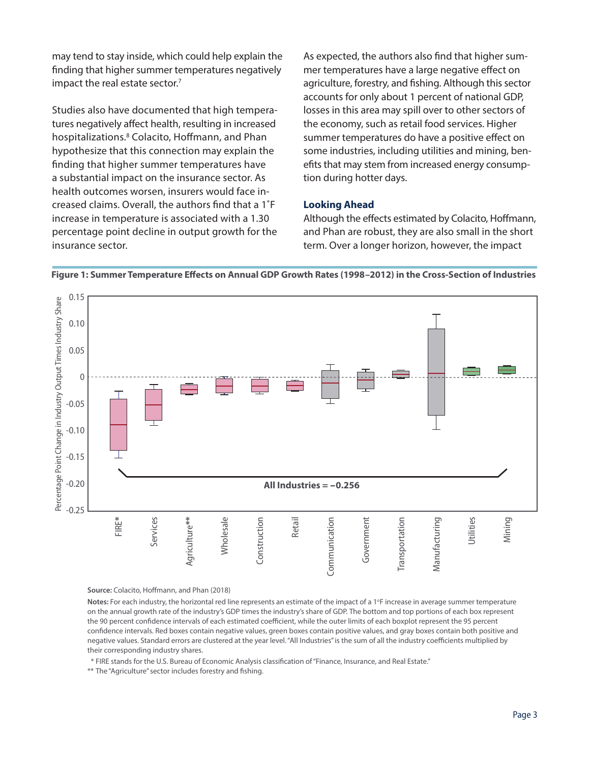may tend to stay inside, which could help explain the finding that higher summer temperatures negatively impact the real estate sector.<sup>7</sup>

Studies also have documented that high temperatures negatively affect health, resulting in increased hospitalizations.<sup>8</sup> Colacito, Hoffmann, and Phan hypothesize that this connection may explain the finding that higher summer temperatures have a substantial impact on the insurance sector. As health outcomes worsen, insurers would face increased claims. Overall, the authors find that a 1˚F increase in temperature is associated with a 1.30 percentage point decline in output growth for the insurance sector.

As expected, the authors also find that higher summer temperatures have a large negative effect on agriculture, forestry, and fishing. Although this sector accounts for only about 1 percent of national GDP, losses in this area may spill over to other sectors of the economy, such as retail food services. Higher summer temperatures do have a positive effect on some industries, including utilities and mining, benefits that may stem from increased energy consumption during hotter days.

## **Looking Ahead**

Although the effects estimated by Colacito, Hoffmann, and Phan are robust, they are also small in the short term. Over a longer horizon, however, the impact



**Figure 1: Summer Temperature Effects on Annual GDP Growth Rates (1998–2012) in the Cross-Section of Industries**

**Source:** Colacito, Hoffmann, and Phan (2018)

Notes: For each industry, the horizontal red line represents an estimate of the impact of a 1°F increase in average summer temperature on the annual growth rate of the industry's GDP times the industry's share of GDP. The bottom and top portions of each box represent the 90 percent confidence intervals of each estimated coefficient, while the outer limits of each boxplot represent the 95 percent confidence intervals. Red boxes contain negative values, green boxes contain positive values, and gray boxes contain both positive and negative values. Standard errors are clustered at the year level. "All Industries" is the sum of all the industry coefficients multiplied by their corresponding industry shares.

\* FIRE stands for the U.S. Bureau of Economic Analysis classification of "Finance, Insurance, and Real Estate."

\*\* The "Agriculture" sector includes forestry and fishing.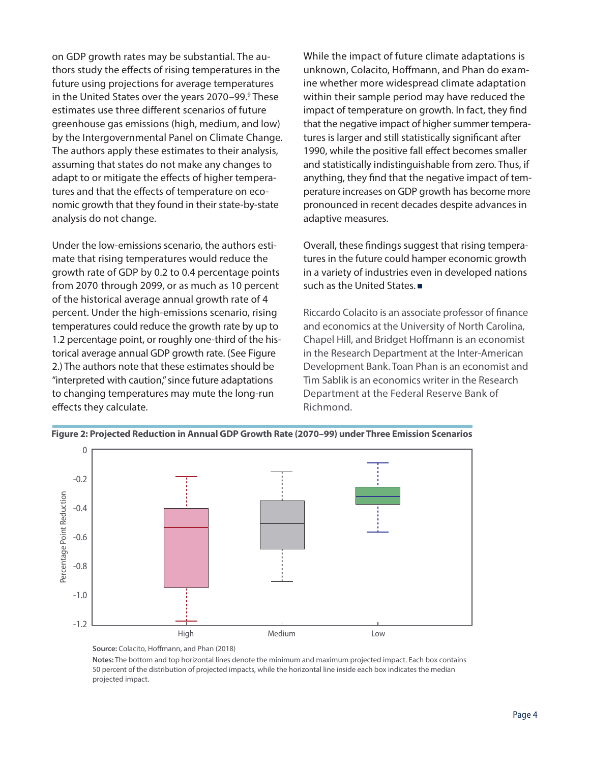on GDP growth rates may be substantial. The authors study the effects of rising temperatures in the future using projections for average temperatures in the United States over the years 2070–99.<sup>9</sup> These estimates use three different scenarios of future greenhouse gas emissions (high, medium, and low) by the Intergovernmental Panel on Climate Change. The authors apply these estimates to their analysis, assuming that states do not make any changes to adapt to or mitigate the effects of higher temperatures and that the effects of temperature on economic growth that they found in their state-by-state analysis do not change.

Under the low-emissions scenario, the authors estimate that rising temperatures would reduce the growth rate of GDP by 0.2 to 0.4 percentage points from 2070 through 2099, or as much as 10 percent of the historical average annual growth rate of 4 percent. Under the high-emissions scenario, rising temperatures could reduce the growth rate by up to 1.2 percentage point, or roughly one-third of the historical average annual GDP growth rate. (See Figure 2.) The authors note that these estimates should be "interpreted with caution," since future adaptations to changing temperatures may mute the long-run effects they calculate.

While the impact of future climate adaptations is unknown, Colacito, Hoffmann, and Phan do examine whether more widespread climate adaptation within their sample period may have reduced the impact of temperature on growth. In fact, they find that the negative impact of higher summer temperatures is larger and still statistically significant after 1990, while the positive fall effect becomes smaller and statistically indistinguishable from zero. Thus, if anything, they find that the negative impact of temperature increases on GDP growth has become more pronounced in recent decades despite advances in adaptive measures.

Overall, these findings suggest that rising temperatures in the future could hamper economic growth in a variety of industries even in developed nations such as the United States.

Riccardo Colacito is an associate professor of finance and economics at the University of North Carolina, Chapel Hill, and Bridget Hoffmann is an economist in the Research Department at the Inter-American Development Bank. Toan Phan is an economist and Tim Sablik is an economics writer in the Research Department at the Federal Reserve Bank of Richmond.



**Figure 2: Projected Reduction in Annual GDP Growth Rate (2070–99) under Three Emission Scenarios**

**Notes:** The bottom and top horizontal lines denote the minimum and maximum projected impact. Each box contains 50 percent of the distribution of projected impacts, while the horizontal line inside each box indicates the median projected impact.

**Source:** Colacito, Hoffmann, and Phan (2018)